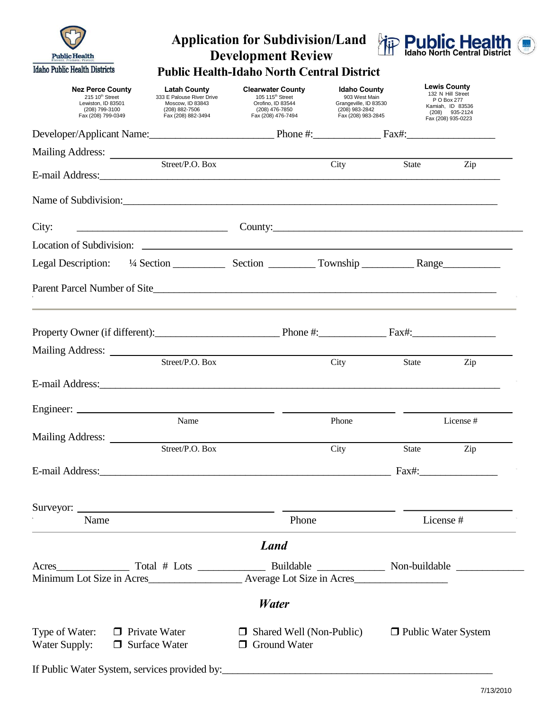| <b>Public Health</b>                                                                                                          |                                                                                                              | <b>Application for Subdivision/Land</b><br><b>Development Review</b>                                                  |                                                                                                       |                       | <b>粒 Public Health</b>                                                                                                |
|-------------------------------------------------------------------------------------------------------------------------------|--------------------------------------------------------------------------------------------------------------|-----------------------------------------------------------------------------------------------------------------------|-------------------------------------------------------------------------------------------------------|-----------------------|-----------------------------------------------------------------------------------------------------------------------|
| <b>Idaho Public Health Districts</b>                                                                                          |                                                                                                              | <b>Public Health-Idaho North Central District</b>                                                                     |                                                                                                       |                       |                                                                                                                       |
| <b>Nez Perce County</b><br>215 10th Street<br>Lewiston, ID 83501<br>(208) 799-3100<br>Fax (208) 799-0349                      | <b>Latah County</b><br>333 E Palouse River Drive<br>Moscow, ID 83843<br>(208) 882-7506<br>Fax (208) 882-3494 | <b>Clearwater County</b><br>105 115 <sup>th</sup> Street<br>Orofino, ID 83544<br>(208) 476-7850<br>Fax (208) 476-7494 | <b>Idaho County</b><br>903 West Main<br>Grangeville, ID 83530<br>(208) 983-2842<br>Fax (208) 983-2845 |                       | <b>Lewis County</b><br>132 N Hill Street<br>P O Box 277<br>Kamiah, ID 83536<br>$(208)$ 935-2124<br>Fax (208) 935-0223 |
| Developer/Applicant Name: Phone #: Fax#:                                                                                      |                                                                                                              |                                                                                                                       |                                                                                                       |                       |                                                                                                                       |
|                                                                                                                               |                                                                                                              |                                                                                                                       |                                                                                                       |                       |                                                                                                                       |
|                                                                                                                               | Street/P.O. Box                                                                                              |                                                                                                                       | City                                                                                                  | State                 | Zip                                                                                                                   |
| Name of Subdivision:                                                                                                          |                                                                                                              |                                                                                                                       |                                                                                                       |                       |                                                                                                                       |
| City:<br><u> Alexandria de la construcción de la construcción de la construcción de la construcción de la construcción de</u> |                                                                                                              | County:                                                                                                               |                                                                                                       |                       |                                                                                                                       |
| Location of Subdivision: Location of Subdivision:                                                                             |                                                                                                              |                                                                                                                       |                                                                                                       |                       |                                                                                                                       |
|                                                                                                                               |                                                                                                              |                                                                                                                       |                                                                                                       |                       |                                                                                                                       |
|                                                                                                                               |                                                                                                              |                                                                                                                       |                                                                                                       |                       |                                                                                                                       |
| Property Owner (if different): Phone #: Phone #: Fax#:                                                                        |                                                                                                              |                                                                                                                       |                                                                                                       |                       |                                                                                                                       |
| Mailing Address:                                                                                                              | Street/P.O. Box                                                                                              |                                                                                                                       | City                                                                                                  | <b>State</b>          | Zip                                                                                                                   |
|                                                                                                                               |                                                                                                              |                                                                                                                       |                                                                                                       |                       |                                                                                                                       |
| E-mail Address:                                                                                                               |                                                                                                              |                                                                                                                       |                                                                                                       |                       |                                                                                                                       |
|                                                                                                                               | Name                                                                                                         |                                                                                                                       | Phone                                                                                                 |                       | License#                                                                                                              |
| Mailing Address:                                                                                                              |                                                                                                              |                                                                                                                       |                                                                                                       |                       |                                                                                                                       |
|                                                                                                                               | Street/P.O. Box                                                                                              |                                                                                                                       | City                                                                                                  | State                 | Zip                                                                                                                   |
|                                                                                                                               |                                                                                                              |                                                                                                                       |                                                                                                       |                       | $Fax\#:$                                                                                                              |
|                                                                                                                               |                                                                                                              |                                                                                                                       |                                                                                                       |                       |                                                                                                                       |
| Name                                                                                                                          |                                                                                                              | Phone                                                                                                                 |                                                                                                       | License #             |                                                                                                                       |
|                                                                                                                               |                                                                                                              | <b>Land</b>                                                                                                           |                                                                                                       |                       |                                                                                                                       |
|                                                                                                                               |                                                                                                              |                                                                                                                       |                                                                                                       |                       |                                                                                                                       |
|                                                                                                                               |                                                                                                              | <b>Water</b>                                                                                                          |                                                                                                       |                       |                                                                                                                       |
| Type of Water:<br>$\Box$ Private Water<br>Water Supply:<br>$\Box$ Surface Water                                               |                                                                                                              | $\Box$ Shared Well (Non-Public)<br><b>Ground Water</b><br>$\Box$                                                      |                                                                                                       | □ Public Water System |                                                                                                                       |
|                                                                                                                               |                                                                                                              |                                                                                                                       |                                                                                                       |                       |                                                                                                                       |